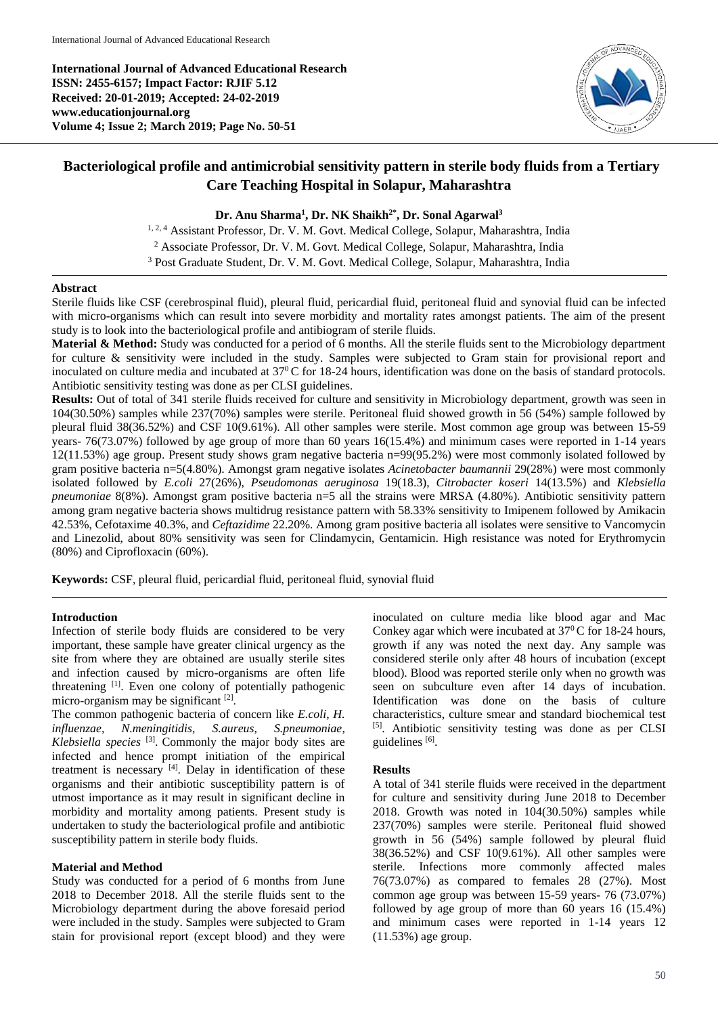**International Journal of Advanced Educational Research ISSN: 2455-6157; Impact Factor: RJIF 5.12 Received: 20-01-2019; Accepted: 24-02-2019 www.educationjournal.org Volume 4; Issue 2; March 2019; Page No. 50-51**



# **Bacteriological profile and antimicrobial sensitivity pattern in sterile body fluids from a Tertiary Care Teaching Hospital in Solapur, Maharashtra**

### **Dr. Anu Sharma<sup>1</sup> , Dr. NK Shaikh2\* , Dr. Sonal Agarwal<sup>3</sup>**

<sup>1, 2, 4</sup> Assistant Professor, Dr. V. M. Govt. Medical College, Solapur, Maharashtra, India <sup>2</sup> Associate Professor, Dr. V. M. Govt. Medical College, Solapur, Maharashtra, India <sup>3</sup> Post Graduate Student, Dr. V. M. Govt. Medical College, Solapur, Maharashtra, India

#### **Abstract**

Sterile fluids like CSF (cerebrospinal fluid), pleural fluid, pericardial fluid, peritoneal fluid and synovial fluid can be infected with micro-organisms which can result into severe morbidity and mortality rates amongst patients. The aim of the present study is to look into the bacteriological profile and antibiogram of sterile fluids.

**Material & Method:** Study was conducted for a period of 6 months. All the sterile fluids sent to the Microbiology department for culture & sensitivity were included in the study. Samples were subjected to Gram stain for provisional report and inoculated on culture media and incubated at 37<sup>0</sup>C for 18-24 hours, identification was done on the basis of standard protocols. Antibiotic sensitivity testing was done as per CLSI guidelines.

**Results:** Out of total of 341 sterile fluids received for culture and sensitivity in Microbiology department, growth was seen in 104(30.50%) samples while 237(70%) samples were sterile. Peritoneal fluid showed growth in 56 (54%) sample followed by pleural fluid 38(36.52%) and CSF 10(9.61%). All other samples were sterile. Most common age group was between 15-59 years- 76(73.07%) followed by age group of more than 60 years 16(15.4%) and minimum cases were reported in 1-14 years 12(11.53%) age group. Present study shows gram negative bacteria n=99(95.2%) were most commonly isolated followed by gram positive bacteria n=5(4.80%). Amongst gram negative isolates *Acinetobacter baumannii* 29(28%) were most commonly isolated followed by *E.coli* 27(26%), *Pseudomonas aeruginosa* 19(18.3), *Citrobacter koseri* 14(13.5%) and *Klebsiella pneumoniae* 8(8%). Amongst gram positive bacteria n=5 all the strains were MRSA (4.80%). Antibiotic sensitivity pattern among gram negative bacteria shows multidrug resistance pattern with 58.33% sensitivity to Imipenem followed by Amikacin 42.53%, Cefotaxime 40.3%, and *Ceftazidime* 22.20%. Among gram positive bacteria all isolates were sensitive to Vancomycin and Linezolid, about 80% sensitivity was seen for Clindamycin, Gentamicin. High resistance was noted for Erythromycin (80%) and Ciprofloxacin (60%).

**Keywords:** CSF, pleural fluid, pericardial fluid, peritoneal fluid, synovial fluid

#### **Introduction**

Infection of sterile body fluids are considered to be very important, these sample have greater clinical urgency as the site from where they are obtained are usually sterile sites and infection caused by micro-organisms are often life threatening <sup>[1]</sup>. Even one colony of potentially pathogenic micro-organism may be significant [2].

The common pathogenic bacteria of concern like *E.coli, H. influenzae, N.meningitidis, S.aureus, S.pneumoniae, Klebsiella species* [3] . Commonly the major body sites are infected and hence prompt initiation of the empirical treatment is necessary [4]. Delay in identification of these organisms and their antibiotic susceptibility pattern is of utmost importance as it may result in significant decline in morbidity and mortality among patients. Present study is undertaken to study the bacteriological profile and antibiotic susceptibility pattern in sterile body fluids.

### **Material and Method**

Study was conducted for a period of 6 months from June 2018 to December 2018. All the sterile fluids sent to the Microbiology department during the above foresaid period were included in the study. Samples were subjected to Gram stain for provisional report (except blood) and they were inoculated on culture media like blood agar and Mac Conkey agar which were incubated at  $37^{\circ}$ C for 18-24 hours, growth if any was noted the next day. Any sample was considered sterile only after 48 hours of incubation (except blood). Blood was reported sterile only when no growth was seen on subculture even after 14 days of incubation. Identification was done on the basis of culture characteristics, culture smear and standard biochemical test [5]. Antibiotic sensitivity testing was done as per CLSI guidelines<sup>[6]</sup>.

#### **Results**

A total of 341 sterile fluids were received in the department for culture and sensitivity during June 2018 to December 2018. Growth was noted in 104(30.50%) samples while 237(70%) samples were sterile. Peritoneal fluid showed growth in 56 (54%) sample followed by pleural fluid 38(36.52%) and CSF 10(9.61%). All other samples were sterile. Infections more commonly affected males 76(73.07%) as compared to females 28 (27%). Most common age group was between 15-59 years- 76 (73.07%) followed by age group of more than 60 years 16 (15.4%) and minimum cases were reported in 1-14 years 12 (11.53%) age group.